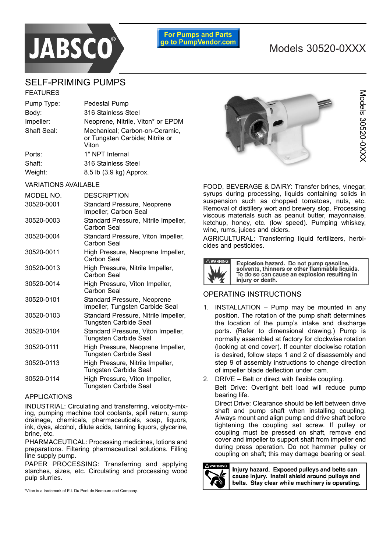# **JABSCO**

### **For Pumps and Parts** go to PumpVendor.com

# Models 30520-0XXX

# SELF-PRIMING PUMPS

| <b>FEATURES</b>             |                                                                            |  |
|-----------------------------|----------------------------------------------------------------------------|--|
| Pump Type:                  | Pedestal Pump                                                              |  |
| Body:                       | 316 Stainless Steel                                                        |  |
| Impeller:                   | Neoprene, Nitrile, Viton* or EPDM                                          |  |
| Shaft Seal:                 | Mechanical; Carbon-on-Ceramic,<br>or Tungsten Carbide; Nitrile or<br>Viton |  |
| Ports:                      | 1" NPT Internal                                                            |  |
| Shaft:                      | 316 Stainless Steel                                                        |  |
| Weight:                     | 8.5 lb (3.9 kg) Approx.                                                    |  |
| <b>VARIATIONS AVAILABLE</b> |                                                                            |  |

# MODEL NO. DESCRIPTION 30520-0001 Standard Pressure, Neoprene Impeller, Carbon Seal 30520-0003 Standard Pressure, Nitrile Impeller, Carbon Seal 30520-0004 Standard Pressure, Viton Impeller, Carbon Seal 30520-0011 High Pressure, Neoprene Impeller, Carbon Seal 30520-0013 High Pressure, Nitrile Impeller, Carbon Seal 30520-0014 High Pressure, Viton Impeller, Carbon Seal 30520-0101 Standard Pressure, Neoprene Impeller, Tungsten Carbide Seal 30520-0103 Standard Pressure, Nitrile Impeller, Tungsten Carbide Seal 30520-0104 Standard Pressure, Viton Impeller, Tungsten Carbide Seal 30520-0111 High Pressure, Neoprene Impeller, Tungsten Carbide Seal 30520-0113 High Pressure, Nitrile Impeller, Tungsten Carbide Seal 30520-0114 High Pressure, Viton Impeller, Tungsten Carbide Seal

### APPLICATIONS

INDUSTRIAL: Circulating and transferring, velocity-mixing, pumping machine tool coolants, spill return, sump drainage, chemicals, pharmaceuticals, soap, liquors, ink, dyes, alcohol, dilute acids, tanning liquors, glycerine, brine, etc.

PHARMACEUTICAL: Processing medicines, lotions and preparations. Filtering pharmaceutical solutions. Filling line supply pump.

PAPER PROCESSING: Transferring and applying starches, sizes, etc. Circulating and processing wood pulp slurries.

\*Viton is a trademark of E.I. Du Pont de Nemours and Company.



FOOD, BEVERAGE & DAIRY: Transfer brines, vinegar, syrups during processing, liquids containing solids in suspension such as chopped tomatoes, nuts, etc. Removal of distillery wort and brewery slop. Processing viscous materials such as peanut butter, mayonnaise, ketchup, honey, etc. (low speed). Pumping whiskey, wine, rums, juices and ciders.

AGRICULTURAL: Transferring liquid fertilizers, herbicides and pesticides.



Explosion hazard. Do not pump gasoline,<br>solvents, thinners or other flammable liquids. To do so can cause an explosion resulting in injury or death.

# OPERATING INSTRUCTIONS

- 1. INSTALLATION  $-$  Pump may be mounted in any position. The rotation of the pump shaft determines the location of the pump's intake and discharge ports. (Refer to dimensional drawing.) Pump is normally assembled at factory for clockwise rotation (looking at end cover). If counter clockwise rotation is desired, follow steps 1 and 2 of disassembly and step 9 of assembly instructions to change direction of impeller blade deflection under cam.
- 2. DRIVE  $-$  Belt or direct with flexible coupling. Belt Drive: Overtight belt load will reduce pump bearing life.

Direct Drive: Clearance should be left between drive shaft and pump shaft when installing coupling. Always mount and align pump and drive shaft before tightening the coupling set screw. If pulley or coupling must be pressed on shaft, remove end cover and impeller to support shaft from impeller end during press operation. Do not hammer pulley or coupling on shaft; this may damage bearing or seal.



Injury hazard. Exposed pulleys and belts can cause injury. Install shield around pulleys and belts. Stay clear while machinery is operating.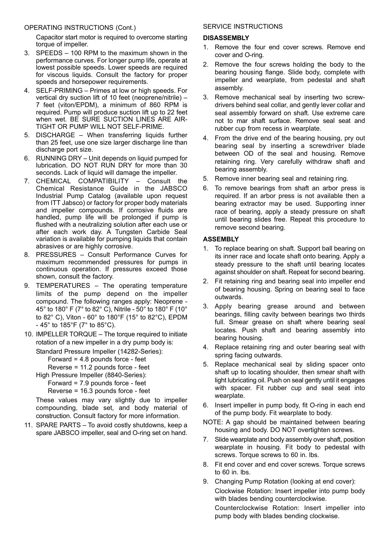# OPERATING INSTRUCTIONS (Cont.)

Capacitor start motor is required to overcome starting torque of impeller.

- 3. SPEEDS  $-$  100 RPM to the maximum shown in the performance curves. For longer pump life, operate at lowest possible speeds. Lower speeds are required for viscous liquids. Consult the factory for proper speeds and horsepower requirements.
- 4. SELF-PRIMING Primes at low or high speeds. For vertical dry suction lift of 10 feet (neoprene/nitrile)  $-$ 7 feet (viton/EPDM), a minimum of 860 RPM is required. Pump will produce suction lift up to 22 feet when wet. BE SURE SUCTION LINES ARE AIR-TIGHT OR PUMP WILL NOT SELF-PRIME.
- 5. DISCHARGE  $-$  When transferring liquids further than 25 feet, use one size larger discharge line than discharge port size.
- 6. RUNNING DRY Unit depends on liquid pumped for lubrication. DO NOT RUN DRY for more than 30 seconds. Lack of liquid will damage the impeller.
- 7. CHEMICAL COMPATIBILITY  $-$  Consult the Chemical Resistance Guide in the JABSCO Industrial Pump Catalog (available upon request from ITT Jabsco) or factory for proper body materials and impeller compounds. If corrosive fluids are handled, pump life will be prolonged if pump is flushed with a neutralizing solution after each use or after each work day. A Tungsten Carbide Seal variation is available for pumping liquids that contain abrasives or are highly corrosive.
- 8. PRESSURES Consult Performance Curves for maximum recommended pressures for pumps in continuous operation. If pressures exceed those shown, consult the factory.
- 9. TEMPERATURES The operating temperature limits of the pump depend on the impeller compound. The following ranges apply: Neoprene - 45° to 180° F (7° to 82° C), Nitrile - 50° to 180° F (10° to 82° C), Viton - 60° to 180°F (15° to 82°C), EPDM  $-45^{\circ}$  to 185 $^{\circ}$ F (7 $^{\circ}$  to 85 $^{\circ}$ C).
- 10. IMPELLER TORQUE The torque required to initiate rotation of a new impeller in a dry pump body is:

Standard Pressure Impeller (14282-Series):

Forward = 4.8 pounds force - feet

Reverse = 11.2 pounds force - feet

High Pressure Impeller (8840-Series):

Forward = 7.9 pounds force - feet

Reverse = 16.3 pounds force - feet

These values may vary slightly due to impeller compounding, blade set, and body material of construction. Consult factory for more information.

11. SPARE PARTS  $-$  To avoid costly shutdowns, keep a spare JABSCO impeller, seal and O-ring set on hand.

# SERVICE INSTRUCTIONS

### **DISASSEMBLY**

- 1. Remove the four end cover screws. Remove end cover and O-ring.
- 2. Remove the four screws holding the body to the bearing housing flange. Slide body, complete with impeller and wearplate, from pedestal and shaft assembly.
- 3. Remove mechanical seal by inserting two screwdrivers behind seal collar, and gently lever collar and seal assembly forward on shaft. Use extreme care not to mar shaft surface. Remove seal seat and rubber cup from recess in wearplate.
- 4. From the drive end of the bearing housing, pry out bearing seal by inserting a screwdriver blade between OD of the seal and housing. Remove retaining ring. Very carefully withdraw shaft and bearing assembly.
- 5. Remove inner bearing seal and retaining ring.
- 6. To remove bearings from shaft an arbor press is required. If an arbor press is not available then a bearing extractor may be used. Supporting inner race of bearing, apply a steady pressure on shaft until bearing slides free. Repeat this procedure to remove second bearing.

## **ASSEMBLY**

- 1. To replace bearing on shaft. Support ball bearing on its inner race and locate shaft onto bearing. Apply a steady pressure to the shaft until bearing locates against shoulder on shaft. Repeat for second bearing.
- 2. Fit retaining ring and bearing seal into impeller end of bearing housing. Spring on bearing seal to face outwards.
- 3. Apply bearing grease around and between bearings, filling cavity between bearings two thirds full. Smear grease on shaft where bearing seal locates. Push shaft and bearing assembly into bearing housing.
- 4. Replace retaining ring and outer bearing seal with spring facing outwards.
- 5. Replace mechanical seal by sliding spacer onto shaft up to locating shoulder, then smear shaft with light lubricating oil. Push on seal gently until it engages with spacer. Fit rubber cup and seal seat into wearplate.
- 6. Insert impeller in pump body, fit O-ring in each end of the pump body. Fit wearplate to body.
- NOTE: A gap should be maintained between bearing housing and body. DO NOT overtighten screws.
- 7. Slide wearplate and body assembly over shaft, position wearplate in housing. Fit body to pedestal with screws. Torque screws to 60 in. lbs.
- 8. Fit end cover and end cover screws. Torque screws to 60 in. lbs.
- 9. Changing Pump Rotation (looking at end cover): Clockwise Rotation: Insert impeller into pump body with blades bending counterclockwise. Counterclockwise Rotation: Insert impeller into pump body with blades bending clockwise.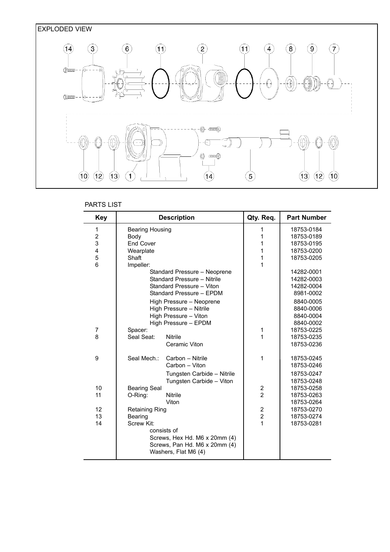

# PARTS LIST

| <b>Key</b> | <b>Description</b>     |                                                       | Qty. Req.               | <b>Part Number</b> |  |  |
|------------|------------------------|-------------------------------------------------------|-------------------------|--------------------|--|--|
| 1          | <b>Bearing Housing</b> |                                                       | 1                       | 18753-0184         |  |  |
| 2          | Body                   |                                                       | 1                       | 18753-0189         |  |  |
| 3          | <b>End Cover</b>       |                                                       | 1                       | 18753-0195         |  |  |
| 4          | Wearplate              |                                                       | 1                       | 18753-0200         |  |  |
| 5          | Shaft                  |                                                       | 1                       | 18753-0205         |  |  |
| 6          | Impeller:              |                                                       | 1                       |                    |  |  |
|            |                        | Standard Pressure - Neoprene                          |                         | 14282-0001         |  |  |
|            |                        | Standard Pressure - Nitrile                           |                         | 14282-0003         |  |  |
|            |                        | Standard Pressure - Viton                             |                         | 14282-0004         |  |  |
|            |                        | Standard Pressure - EPDM                              |                         | 8981-0002          |  |  |
|            |                        | High Pressure - Neoprene                              |                         | 8840-0005          |  |  |
|            |                        | High Pressure - Nitrile                               |                         | 8840-0006          |  |  |
|            |                        | High Pressure - Viton                                 |                         | 8840-0004          |  |  |
|            |                        | High Pressure - EPDM                                  |                         | 8840-0002          |  |  |
| 7          | Spacer:                |                                                       | 1                       | 18753-0225         |  |  |
| 8          | Seal Seat:             | <b>Nitrile</b>                                        | 1                       | 18753-0235         |  |  |
|            |                        | Ceramic Viton                                         |                         | 18753-0236         |  |  |
| 9          | Seal Mech.:            | Carbon - Nitrile                                      | 1                       | 18753-0245         |  |  |
|            |                        | Carbon - Viton                                        |                         | 18753-0246         |  |  |
|            |                        | Tungsten Carbide - Nitrile                            |                         | 18753-0247         |  |  |
|            |                        | Tungsten Carbide - Viton                              |                         | 18753-0248         |  |  |
| 10         | <b>Bearing Seal</b>    |                                                       | $\boldsymbol{2}$        | 18753-0258         |  |  |
| 11         | O-Ring:                | <b>Nitrile</b>                                        | $\overline{2}$          | 18753-0263         |  |  |
|            |                        | Viton                                                 |                         | 18753-0264         |  |  |
| 12         | <b>Retaining Ring</b>  |                                                       | $\overline{\mathbf{c}}$ | 18753-0270         |  |  |
| 13         | Bearing                |                                                       | $\overline{2}$          | 18753-0274         |  |  |
| 14         | Screw Kit:             |                                                       | 1                       | 18753-0281         |  |  |
|            |                        | consists of                                           |                         |                    |  |  |
|            |                        | Screws, Hex Hd. M6 x 20mm (4)                         |                         |                    |  |  |
|            |                        | Screws, Pan Hd. M6 x 20mm (4)<br>Washers, Flat M6 (4) |                         |                    |  |  |
|            |                        |                                                       |                         |                    |  |  |
|            |                        |                                                       |                         |                    |  |  |